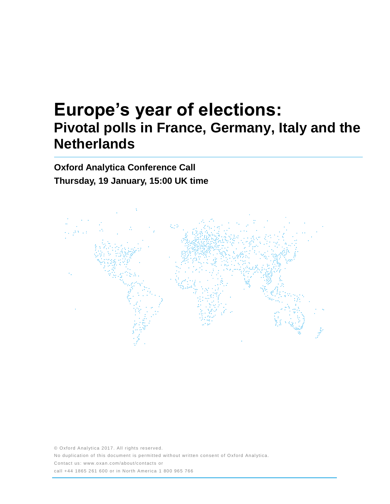# **Europe's year of elections: Pivotal polls in France, Germany, Italy and the Netherlands**

**Oxford Analytica Conference Call Thursday, 19 January, 15:00 UK time**



© Oxford Analytica 2017. All rights reserved. No duplication of this document is permitted without written consent of Oxford Analytica. Contact us: www.oxan.com/about/contacts or call +44 1865 261 600 or in North America 1 800 965 766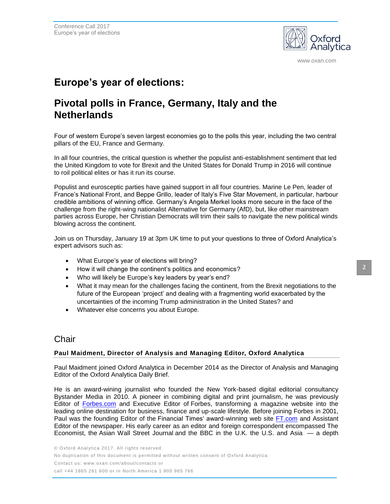

www.oxan.com

# **Europe's year of elections:**

## **Pivotal polls in France, Germany, Italy and the Netherlands**

Four of western Europe's seven largest economies go to the polls this year, including the two central pillars of the EU, France and Germany.

In all four countries, the critical question is whether the populist anti-establishment sentiment that led the United Kingdom to vote for Brexit and the United States for Donald Trump in 2016 will continue to roil political elites or has it run its course.

Populist and eurosceptic parties have gained support in all four countries. Marine Le Pen, leader of France's National Front, and Beppe Grillo, leader of Italy's Five Star Movement, in particular, harbour credible ambitions of winning office. Germany's Angela Merkel looks more secure in the face of the challenge from the right-wing nationalist Alternative for Germany (AfD), but, like other mainstream parties across Europe, her Christian Democrats will trim their sails to navigate the new political winds blowing across the continent.

Join us on Thursday, January 19 at 3pm UK time to put your questions to three of Oxford Analytica's expert advisors such as:

- What Europe's year of elections will bring?
- How it will change the continent's politics and economics?
- Who will likely be Europe's key leaders by year's end?
- What it may mean for the challenges facing the continent, from the Brexit negotiations to the future of the European 'project' and dealing with a fragmenting world exacerbated by the uncertainties of the incoming Trump administration in the United States? and
- Whatever else concerns you about Europe.

### **Chair**

#### **Paul Maidment, Director of Analysis and Managing Editor, Oxford Analytica**

Paul Maidment joined Oxford Analytica in December 2014 as the Director of Analysis and Managing Editor of the Oxford Analytica Daily Brief.

He is an award-wining journalist who founded the New York-based digital editorial consultancy Bystander Media in 2010. A pioneer in combining digital and print journalism, he was previously Editor of [Forbes.com](http://forbes.com/) and Executive Editor of Forbes, transforming a magazine website into the leading online destination for business, finance and up-scale lifestyle. Before joining Forbes in 2001, Paul was the founding Editor of the Financial Times' award-winning web site [FT.com](http://ft.com/) and Assistant Editor of the newspaper. His early career as an editor and foreign correspondent encompassed The Economist, the Asian Wall Street Journal and the BBC in the U.K. the U.S. and Asia — a depth